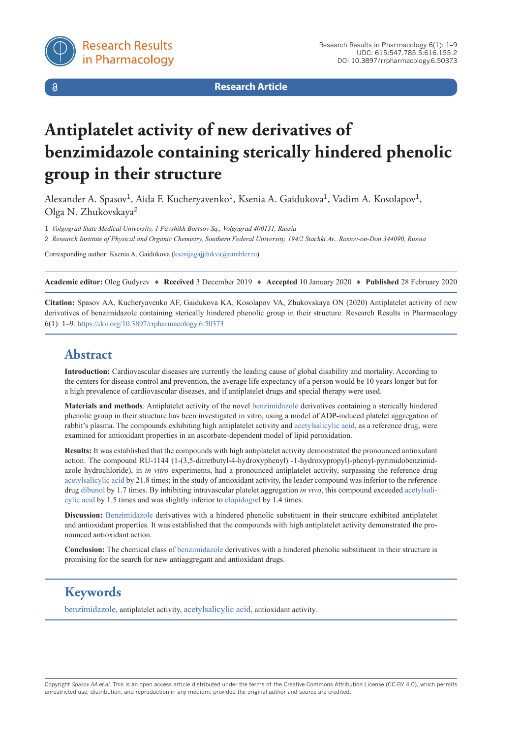

 $\delta$ 

**Research Article**

# **Antiplatelet activity of new derivatives of benzimidazole containing sterically hindered phenolic group in their structure**

Alexander A. Spasov<sup>1</sup>, Aida F. Kucheryavenko<sup>1</sup>, Ksenia A. Gaidukova<sup>1</sup>, Vadim A. Kosolapov<sup>1</sup>, Olga N. Zhukovskaya<sup>2</sup>

1 *Volgograd State Medical University, 1 Pavshikh Bortsov Sq., Volgograd 400131, Russia*

2 *Research Institute of Physical and Organic Chemistry, Southern Federal University, 194/2 Stachki Av., Rostov-on-Don 344090, Russia*

Corresponding author: Ksenia A. Gaidukova ([ksenijagajjdukva@rambler.ru](mailto:ksenijagajjdukva@rambler.ru))

**Academic editor:** Oleg Gudyrev ♦ **Received** 3 December 2019 ♦ **Accepted** 10 January 2020 ♦ **Published** 28 February 2020

**Citation:** Spasov AA, Kucheryavenko AF, Gaidukova KA, Kosolapov VA, Zhukovskaya ON (2020) Antiplatelet activity of new derivatives of benzimidazole containing sterically hindered phenolic group in their structure. Research Results in Pharmacology 6(1): 1–9.<https://doi.org/10.3897/rrpharmacology.6.50373>

# **Abstract**

**Introduction:** Cardiovascular diseases are currently the leading cause of global disability and mortality. According to the centers for disease control and prevention, the average life expectancy of a person would be 10 years longer but for a high prevalence of cardiovascular diseases, and if antiplatelet drugs and special therapy were used.

**Materials and methods**: Antiplatelet activity of the novel [benzimidazole](https://pubchem.ncbi.nlm.nih.gov/compound/benzimidazole) derivatives containing a sterically hindered phenolic group in their structure has been investigated in vitro, using a model of ADP-induced platelet aggregation of rabbit's plasma. The compounds exhibiting high antiplatelet activity and [acetylsalicylic acid,](https://pubchem.ncbi.nlm.nih.gov/compound/Aspirin) as a reference drug, were examined for antioxidant properties in an ascorbate-dependent model of lipid peroxidation.

**Results:** It was established that the compounds with high antiplatelet activity demonstrated the pronounced antioxidant action. The compound RU-1144 (1-(3,5-ditretbutyl-4-hydroxyphenyl) -1-hydroxypropyl)-phenyl-pyrimidobenzimidazole hydrochloride), in *in vitro* experiments, had a pronounced antiplatelet activity, surpassing the reference drug [acetylsalicylic acid](https://pubchem.ncbi.nlm.nih.gov/compound/Aspirin) by 21.8 times; in the study of antioxidant activity, the leader compound was inferior to the reference drug [dibunol](https://pubchem.ncbi.nlm.nih.gov/compound/Butylated-hydroxytoluene) by 1.7 times. By inhibiting intravascular platelet aggregation *in vivo*, this compound exceeded [acetylsali](https://pubchem.ncbi.nlm.nih.gov/compound/Aspirin)[cylic acid](https://pubchem.ncbi.nlm.nih.gov/compound/Aspirin) by 1.5 times and was slightly inferior to [clopidogrel](https://pubchem.ncbi.nlm.nih.gov/compound/Clopidogrel) by 1.4 times.

**Discussion:** [Benzimidazole](https://pubchem.ncbi.nlm.nih.gov/compound/benzimidazole) derivatives with a hindered phenolic substituent in their structure exhibited antiplatelet and antioxidant properties. It was established that the compounds with high antiplatelet activity demonstrated the pronounced antioxidant action.

**Conclusion:** The chemical class of [benzimidazole](https://pubchem.ncbi.nlm.nih.gov/compound/benzimidazole) derivatives with a hindered phenolic substituent in their structure is promising for the search for new antiaggregant and antioxidant drugs.

# **Keywords**

[benzimidazole](https://pubchem.ncbi.nlm.nih.gov/compound/benzimidazole), antiplatelet activity, [acetylsalicylic acid,](https://pubchem.ncbi.nlm.nih.gov/compound/Aspirin) antioxidant activity.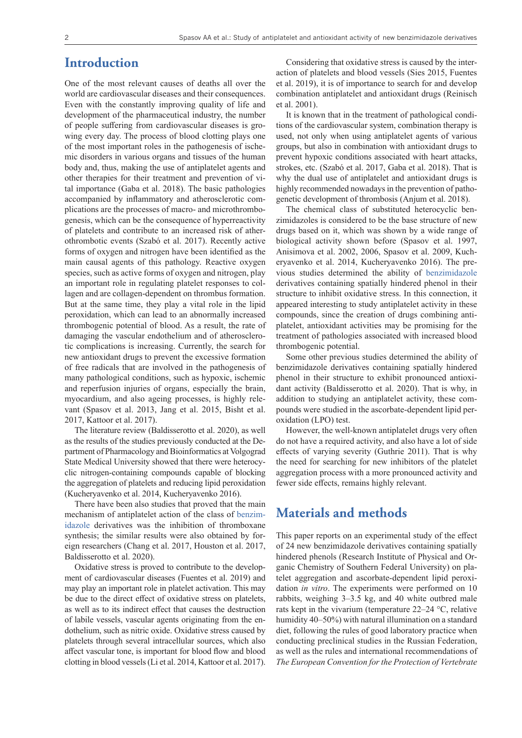## **Introduction**

One of the most relevant causes of deaths all over the world are cardiovascular diseases and their consequences. Even with the constantly improving quality of life and development of the pharmaceutical industry, the number of people suffering from cardiovascular diseases is growing every day. The process of blood clotting plays one of the most important roles in the pathogenesis of ischemic disorders in various organs and tissues of the human body and, thus, making the use of antiplatelet agents and other therapies for their treatment and prevention of vital importance (Gaba et al. 2018). The basic pathologies accompanied by inflammatory and atherosclerotic complications are the processes of macro- and microthrombogenesis, which can be the consequence of hyperreactivity of platelets and contribute to an increased risk of atherothrombotic events (Szabó et al. 2017). Recently active forms of oxygen and nitrogen have been identified as the main causal agents of this pathology. Reactive oxygen species, such as active forms of oxygen and nitrogen, play an important role in regulating platelet responses to collagen and are collagen-dependent on thrombus formation. But at the same time, they play a vital role in the lipid peroxidation, which can lead to an abnormally increased thrombogenic potential of blood. As a result, the rate of damaging the vascular endothelium and of atherosclerotic complications is increasing. Currently, the search for new antioxidant drugs to prevent the excessive formation of free radicals that are involved in the pathogenesis of many pathological conditions, such as hypoxic, ischemic and reperfusion injuries of organs, especially the brain, myocardium, and also ageing processes, is highly relevant (Spasov et al. 2013, Jang et al. 2015, Bisht et al. 2017, Kattoor et al. 2017).

The literature review (Baldisserotto et al. 2020), as well as the results of the studies previously conducted at the Department of Pharmacology and Bioinformatics at Volgograd State Medical University showed that there were heterocyclic nitrogen-containing compounds capable of blocking the aggregation of platelets and reducing lipid peroxidation (Kucheryavenko et al. 2014, Kucheryavenko 2016).

There have been also studies that proved that the main mechanism of antiplatelet action of the class of [benzim](https://pubchem.ncbi.nlm.nih.gov/compound/benzimidazole)[idazole](https://pubchem.ncbi.nlm.nih.gov/compound/benzimidazole) derivatives was the inhibition of thromboxane synthesis; the similar results were also obtained by foreign researchers (Chang et al. 2017, Houston et al. 2017, Baldisserotto et al. 2020).

Oxidative stress is proved to contribute to the development of cardiovascular diseases (Fuentes et al. 2019) and may play an important role in platelet activation. This may be due to the direct effect of oxidative stress on platelets, as well as to its indirect effect that causes the destruction of labile vessels, vascular agents originating from the endothelium, such as nitric oxide. Oxidative stress caused by platelets through several intracellular sources, which also affect vascular tone, is important for blood flow and blood clotting in blood vessels (Li et al. 2014, Kattoor et al. 2017).

Considering that oxidative stress is caused by the interaction of platelets and blood vessels (Sies 2015, Fuentes et al. 2019), it is of importance to search for and develop combination antiplatelet and antioxidant drugs (Reinisch et al. 2001).

It is known that in the treatment of pathological conditions of the cardiovascular system, combination therapy is used, not only when using antiplatelet agents of various groups, but also in combination with antioxidant drugs to prevent hypoxic conditions associated with heart attacks, strokes, etc. (Szabó et al. 2017, Gaba et al. 2018). That is why the dual use of antiplatelet and antioxidant drugs is highly recommended nowadays in the prevention of pathogenetic development of thrombosis (Anjum et al. 2018).

The chemical class of substituted heterocyclic benzimidazoles is considered to be the base structure of new drugs based on it, which was shown by a wide range of biological activity shown before (Spasov et al. 1997, Anisimova et al. 2002, 2006, Spasov et al. 2009, Kucheryavenko et al. 2014, Kucheryavenko 2016). The previous studies determined the ability of [benzimidazole](https://pubchem.ncbi.nlm.nih.gov/compound/benzimidazole) derivatives containing spatially hindered phenol in their structure to inhibit oxidative stress. In this connection, it appeared interesting to study antiplatelet activity in these compounds, since the creation of drugs combining antiplatelet, antioxidant activities may be promising for the treatment of pathologies associated with increased blood thrombogenic potential.

Some other previous studies determined the ability of benzimidazole derivatives containing spatially hindered phenol in their structure to exhibit pronounced antioxidant activity (Baldisserotto et al. 2020). That is why, in addition to studying an antiplatelet activity, these compounds were studied in the ascorbate-dependent lipid peroxidation (LPO) test.

However, the well-known antiplatelet drugs very often do not have a required activity, and also have a lot of side effects of varying severity (Guthrie 2011). That is why the need for searching for new inhibitors of the platelet aggregation process with a more pronounced activity and fewer side effects, remains highly relevant.

## **Materials and methods**

This paper reports on an experimental study of the effect of 24 new benzimidazole derivatives containing spatially hindered phenols (Research Institute of Physical and Organic Chemistry of Southern Federal University) on platelet aggregation and ascorbate-dependent lipid peroxidation *in vitro*. The experiments were performed on 10 rabbits, weighing 3–3.5 kg, and 40 white outbred male rats kept in the vivarium (temperature 22–24 °C, relative humidity 40–50%) with natural illumination on a standard diet, following the rules of good laboratory practice when conducting preclinical studies in the Russian Federation, as well as the rules and international recommendations of *The European Convention for the Protection of Vertebrate*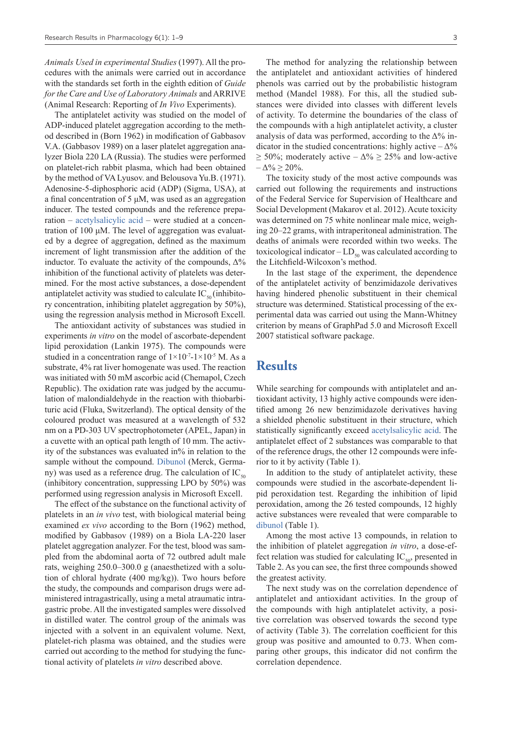*Animals Used in experimental Studies* (1997). All the procedures with the animals were carried out in accordance with the standards set forth in the eighth edition of *Guide for the Care and Use of Laboratory Animals* and ARRIVE (Animal Research: Reporting of *In Vivo* Experiments).

The antiplatelet activity was studied on the model of ADP-induced platelet aggregation according to the method described in (Вorn 1962) in modification of Gabbasov V.A. (Gabbasov 1989) on a laser platelet aggregation analyzer Biola 220 LA (Russia). The studies were performed on platelet-rich rabbit plasma, which had been obtained by the method of VA Lyusov. and Belousova Yu.B. (1971). Adenosine-5-diphosphoric acid (ADP) (Sigma, USA), at a final concentration of 5 μM, was used as an aggregation inducer. The tested compounds and the reference preparation – [acetylsalicylic acid](https://pubchem.ncbi.nlm.nih.gov/compound/Aspirin) – were studied at a concentration of 100 μM. The level of aggregation was evaluated by a degree of aggregation, defined as the maximum increment of light transmission after the addition of the inductor. To evaluate the activity of the compounds,  $\Delta\%$ inhibition of the functional activity of platelets was determined. For the most active substances, a dose-dependent antiplatelet activity was studied to calculate  $IC_{\varsigma_{0}}(inhibito$ ry concentration, inhibiting platelet aggregation by 50%), using the regression analysis method in Microsoft Excell.

The antioxidant activity of substances was studied in experiments *in vitro* on the model of ascorbate-dependent lipid peroxidation (Lankin 1975). The compounds were studied in a concentration range of  $1\times10^{-7}$ -1 $\times10^{-5}$  M. As a substrate, 4% rat liver homogenate was used. The reaction was initiated with 50 mM ascorbic acid (Chemapol, Czech Republic). The oxidation rate was judged by the accumulation of malondialdehyde in the reaction with thiobarbituric acid (Fluka, Switzerland). The optical density of the coloured product was measured at a wavelength of 532 nm on a PD-303 UV spectrophotometer (APEL, Japan) in a cuvette with an optical path length of 10 mm. The activity of the substances was evaluated in% in relation to the sample without the compound. [Dibunol](https://pubchem.ncbi.nlm.nih.gov/compound/Butylated-hydroxytoluene) (Merck, Germany) was used as a reference drug. The calculation of  $IC_{50}$ (inhibitory concentration, suppressing LPO by 50%) was performed using regression analysis in Microsoft Excell.

The effect of the substance on the functional activity of platelets in an *in vivo* test, with biological material being examined *ex vivo* according to the Born (1962) method, modified by Gabbasov (1989) on a Biola LA-220 laser platelet aggregation analyzer. For the test, blood was sampled from the abdominal aorta of 72 outbred adult male rats, weighing 250.0–300.0 g (anaesthetized with a solution of chloral hydrate (400 mg/kg)). Two hours before the study, the compounds and comparison drugs were administered intragastrically, using a metal atraumatic intragastric probe. All the investigated samples were dissolved in distilled water. The control group of the animals was injected with a solvent in an equivalent volume. Next, platelet-rich plasma was obtained, and the studies were carried out according to the method for studying the functional activity of platelets *in vitro* described above.

The method for analyzing the relationship between the antiplatelet and antioxidant activities of hindered phenols was carried out by the probabilistic histogram method (Mandel 1988). For this, all the studied substances were divided into classes with different levels of activity. To determine the boundaries of the class of the compounds with a high antiplatelet activity, a cluster analysis of data was performed, according to the  $\Delta\%$  indicator in the studied concentrations: highly active  $-\Delta\%$  $\geq$  50%; moderately active –  $\Delta\% \geq$  25% and low-active  $-\Delta\% \ge 20\%$ .

The toxicity study of the most active compounds was carried out following the requirements and instructions of the Federal Service for Supervision of Healthcare and Social Development (Makarov et al. 2012). Acute toxicity was determined on 75 white nonlinear male mice, weighing 20–22 grams, with intraperitoneal administration. The deaths of animals were recorded within two weeks. The toxicological indicator  $-LD_{50}$  was calculated according to the Litchfield-Wilcoxon's method.

In the last stage of the experiment, the dependence of the antiplatelet activity of benzimidazole derivatives having hindered phenolic substituent in their chemical structure was determined. Statistical processing of the experimental data was carried out using the Mann-Whitney criterion by means of GraphPad 5.0 and Microsoft Excell 2007 statistical software package.

# **Results**

While searching for compounds with antiplatelet and antioxidant activity, 13 highly active compounds were identified among 26 new benzimidazole derivatives having a shielded phenolic substituent in their structure, which statistically significantly exceed [acetylsalicylic acid.](https://pubchem.ncbi.nlm.nih.gov/compound/Aspirin) The antiplatelet effect of 2 substances was comparable to that of the reference drugs, the other 12 compounds were inferior to it by activity (Table 1).

In addition to the study of antiplatelet activity, these compounds were studied in the ascorbate-dependent lipid peroxidation test. Regarding the inhibition of lipid peroxidation, among the 26 tested compounds, 12 highly active substances were revealed that were comparable to [dibunol](https://pubchem.ncbi.nlm.nih.gov/compound/Butylated-hydroxytoluene) (Table 1).

Among the most active 13 compounds, in relation to the inhibition of platelet aggregation *in vitro*, a dose-effect relation was studied for calculating  $IC_{50}$ , presented in Table 2. As you can see, the first three compounds showed the greatest activity.

The next study was on the correlation dependence of antiplatelet and antioxidant activities. In the group of the compounds with high antiplatelet activity, a positive correlation was observed towards the second type of activity (Table 3). The correlation coefficient for this group was positive and amounted to 0.73. When comparing other groups, this indicator did not confirm the correlation dependence.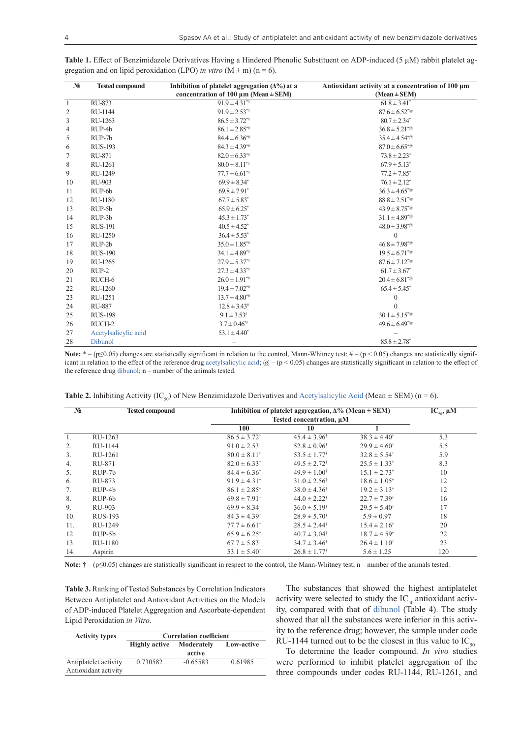| $N_2$        | <b>Tested compound</b> | Inhibition of platelet aggregation $(\Delta\%)$ at a<br>concentration of 100 $\mu$ m (Mean ± SEM) | Antioxidant activity at a concentration of 100 µm<br>$(Mean \pm SEM)$ |
|--------------|------------------------|---------------------------------------------------------------------------------------------------|-----------------------------------------------------------------------|
| $\mathbf{1}$ | RU-873                 | $91.9 \pm 4.31^{*}$                                                                               | $61.8 \pm 3.41^*$                                                     |
| 2            | RU-1144                | $91.9 \pm 2.53^{*}$                                                                               | $87.6 \pm 6.52^{*}\omega$                                             |
| 3            | RU-1263                | $86.5 \pm 3.72^{*}$                                                                               | $80.7 \pm 2.34^*$                                                     |
| 4            | RUP-4b                 | $86.1 \pm 2.85$ *#                                                                                | $36.8 \pm 5.21^{*}\omega$                                             |
| 5            | RUP-7b                 | $84.4 \pm 6.36^{*}$                                                                               | $35.4 \pm 4.54^{\ast}$ @                                              |
| 6            | <b>RUS-193</b>         | $84.3 \pm 4.39^{*}$                                                                               | $87.0 \pm 6.65^{*}$                                                   |
| 7            | RU-871                 | $82.0 \pm 6.33^{*}$                                                                               | $73.8 \pm 2.23^*$                                                     |
| $\,$ 8 $\,$  | RU-1261                | $80.0 \pm 8.11^{*}$                                                                               | $67.9 \pm 5.13$ <sup>*</sup>                                          |
| 9            | RU-1249                | $77.7 \pm 6.61$ <sup>*#</sup>                                                                     | $77.2 \pm 7.85^*$                                                     |
| 10           | <b>RU-903</b>          | $69.9 \pm 8.34^*$                                                                                 | $76.1 \pm 2.12^*$                                                     |
| 11           | RUP-6b                 | $69.8 \pm 7.91$ <sup>*</sup>                                                                      | $36.3 \pm 4.65^{*}$                                                   |
| 12           | RU-1180                | $67.7 \pm 5.83^*$                                                                                 | $88.8 \pm 2.51^{*}\omega$                                             |
| 13           | RUP-5b                 | $65.9 \pm 6.25^*$                                                                                 | $43.9 \pm 8.75^{*}$ @                                                 |
| 14           | RUP-3b                 | $45.3 \pm 1.73$ <sup>*</sup>                                                                      | $31.1 \pm 4.89^{*}$                                                   |
| 15           | <b>RUS-191</b>         | $40.5 \pm 4.52^*$                                                                                 | $48.0 \pm 3.98^{*}\omega$                                             |
| 16           | RU-1250                | $36.4 \pm 5.53^*$                                                                                 | $\theta$                                                              |
| 17           | $RUP-2b$               | $35.0 \pm 1.85$ **                                                                                | $46.8 \pm 7.98^{*}\textcircled{a}$                                    |
| 18           | <b>RUS-190</b>         | $34.1 \pm 4.89^{*}$                                                                               | $19.5 \pm 6.71^{*}$                                                   |
| 19           | RU-1265                | $27.9 \pm 5.37^{*}$                                                                               | $87.6 \pm 7.12^{*}\omega$                                             |
| 20           | $RUP-2$                | $27.3 \pm 4.33^{*}$                                                                               | $61.7 \pm 3.67^*$                                                     |
| 21           | RUCH-6                 | $26.0 \pm 1.91^{*}$                                                                               | $20.4 \pm 6.81^{*}$                                                   |
| 22           | RU-1260                | $19.4 \pm 7.02^{*}$                                                                               | $65.4 \pm 5.45^*$                                                     |
| 23           | RU-1251                | $13.7 \pm 4.80^{*}$                                                                               | $\mathbf{0}$                                                          |
| 24           | <b>RU-887</b>          | $12.8 \pm 3.43^{\#}$                                                                              | $\theta$                                                              |
| 25           | <b>RUS-198</b>         | $9.1 \pm 3.53^{\#}$                                                                               | $30.1 \pm 5.15^{*}$                                                   |
| 26           | RUCH-2                 | $3.7 \pm 0.46^{*}$                                                                                | $49.6 \pm 6.49^{*}\textcircled{a}$                                    |
| 27           | Acetylsalicylic acid   | $53.1 \pm 4.40^*$                                                                                 |                                                                       |
| 28           | Dibunol                |                                                                                                   | $85.8 \pm 2.78$ <sup>*</sup>                                          |

**Table 1.** Effect of Benzimidazole Derivatives Having a Hindered Phenolic Substituent on ADP-induced (5 μM) rabbit platelet aggregation and on lipid peroxidation (LPO) *in vitro*  $(M \pm m)$  (n = 6).

Note:  $* - (p \le 0.05)$  changes are statistically significant in relation to the control, Mann-Whitney test;  $# - (p < 0.05)$  changes are statistically significant in relation to the effect of the reference drug [acetylsalicylic acid](https://pubchem.ncbi.nlm.nih.gov/compound/Aspirin);  $\omega$  – (p < 0.05) changes are statistically significant in relation to the effect of the reference drug [dibunol](https://pubchem.ncbi.nlm.nih.gov/compound/Butylated-hydroxytoluene); n – number of the animals tested.

| N <sub>2</sub> | <b>Tested compound</b> | Inhibition of platelet aggregation, $\Delta\%$ (Mean $\pm$ SEM) |                           |                           | $IC_{50}$ , $\mu$ M |
|----------------|------------------------|-----------------------------------------------------------------|---------------------------|---------------------------|---------------------|
|                |                        |                                                                 | Tested concentration, µM  |                           |                     |
|                |                        | 100                                                             | 10                        |                           |                     |
| 1.             | RU-1263                | $86.5 \pm 3.72^{\dagger}$                                       | $45.4 \pm 3.96^{\dagger}$ | $38.3 \pm 4.40^{\dagger}$ | 5.3                 |
| 2.             | RU-1144                | $91.0 \pm 2.53^{\dagger}$                                       | $52.8 \pm 0.96^{\dagger}$ | $29.9 \pm 4.60^{\dagger}$ | 5.5                 |
| 3.             | RU-1261                | $80.0 \pm 8.11^{\dagger}$                                       | $53.5 \pm 1.77^{\dagger}$ | $32.8 \pm 5.54^{\dagger}$ | 5.9                 |
| 4.             | RU-871                 | $82.0 \pm 6.33^{\dagger}$                                       | $49.5 \pm 2.72^+$         | $25.5 \pm 1.33^{\dagger}$ | 8.3                 |
| 5.             | $RUP-7b$               | $84.4 \pm 6.36^{\dagger}$                                       | $49.9 \pm 1.00^+$         | $15.1 \pm 2.73^{\dagger}$ | 10                  |
| 6.             | RU-873                 | $91.9 \pm 4.31^{\dagger}$                                       | $31.0 \pm 2.56^{\dagger}$ | $18.6 \pm 1.05^{\dagger}$ | 12                  |
| 7.             | RUP-4b                 | $86.1 \pm 2.85^{\dagger}$                                       | $38.0 \pm 4.36^{\dagger}$ | $19.2 \pm 3.13^{\dagger}$ | 12                  |
| 8.             | RUP-6b                 | $69.8 \pm 7.91^{\dagger}$                                       | $44.0 \pm 2.22^{\dagger}$ | $22.7 \pm 7.39^{\dagger}$ | 16                  |
| 9.             | RU-903                 | $69.9 \pm 8.34^{\dagger}$                                       | $36.0 \pm 5.19^{\dagger}$ | $29.5 \pm 5.40^{\dagger}$ | 17                  |
| 10.            | RUS-193                | $84.3 \pm 4.39^{\dagger}$                                       | $28.9 \pm 5.70^+$         | $5.9 \pm 0.97$            | 18                  |
| 11.            | RU-1249                | $77.7 \pm 6.61^+$                                               | $28.5 \pm 2.44^{\dagger}$ | $15.4 \pm 2.16^{\dagger}$ | 20                  |
| 12.            | $RUP-5b$               | $65.9 \pm 6.25^{\dagger}$                                       | $40.7 \pm 3.04^{\dagger}$ | $18.7 \pm 4.59^{\dagger}$ | 22                  |
| 13.            | RU-1180                | $67.7 \pm 5.83^{\dagger}$                                       | $34.7 \pm 3.46^{\dagger}$ | $26.4 \pm 1.10^{\dagger}$ | 23                  |
| 14.            | Aspirin                | $53.1 \pm 5.40^{\dagger}$                                       | $26.8 \pm 1.77^{\dagger}$ | $5.6 \pm 1.25$            | 120                 |

**Table 2.** Inhibiting Activity (IC<sub>50</sub>) of New Benzimidazole Derivatives and [Acetylsalicylic Acid](https://pubchem.ncbi.nlm.nih.gov/compound/Aspirin) (Mean  $\pm$  SEM) (n = 6).

Note: † – (p≤0.05) changes are statistically significant in respect to the control, the Mann-Whitney test; n – number of the animals tested.

**Table 3.** Ranking of Tested Substances by Correlation Indicators Between Antiplatelet and Antioxidant Activities on the Models of ADP-induced Platelet Aggregation and Ascorbate-dependent Lipid Peroxidation *in Vitro*.

| <b>Activity types</b>                         | <b>Correlation coefficient</b> |                      |            |
|-----------------------------------------------|--------------------------------|----------------------|------------|
|                                               | <b>Highly active</b>           | Moderately<br>active | Low-active |
| Antiplatelet activity<br>Antioxidant activity | 0.730582                       | $-0.65583$           | 0.61985    |

The substances that showed the highest antiplatelet activity were selected to study the  $IC_{50}$  antioxidant activity, compared with that of [dibunol](https://pubchem.ncbi.nlm.nih.gov/compound/Butylated-hydroxytoluene) (Table 4). The study showed that all the substances were inferior in this activity to the reference drug; however, the sample under code RU-1144 turned out to be the closest in this value to  $IC_{50}$ 

To determine the leader compound. *In vivo* studies were performed to inhibit platelet aggregation of the three compounds under codes RU-1144, RU-1261, and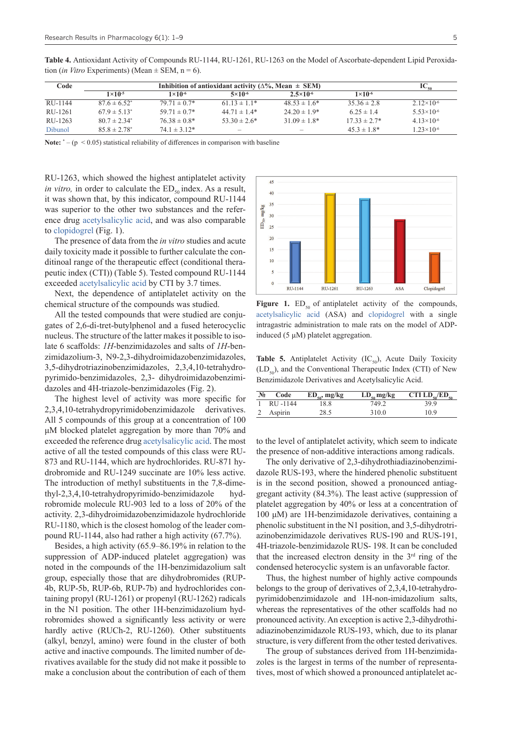**Table 4.** Antioxidant Activity of Compounds RU-1144, RU-1261, RU-1263 on the Model of Ascorbate-dependent Lipid Peroxidation (*in Vitro* Experiments) (Mean  $\pm$  SEM, n = 6).

Note:  $* - (p \le 0.05)$  statistical reliability of differences in comparison with baseline

RU-1263, which showed the highest antiplatelet activity *in vitro*, in order to calculate the  $ED_{so}$  index. As a result, it was shown that, by this indicator, compound RU-1144 was superior to the other two substances and the reference drug [acetylsalicylic acid,](https://pubchem.ncbi.nlm.nih.gov/compound/Aspirin) and was also comparable to [clopidogrel](https://pubchem.ncbi.nlm.nih.gov/compound/Clopidogrel) (Fig. 1).

The presence of data from the *in vitro* studies and acute daily toxicity made it possible to further calculate the conditinoal range of the therapeutic effect (conditional therapeutic index (CTI)) (Table 5). Tested compound RU-1144 exceeded [acetylsalicylic acid](https://pubchem.ncbi.nlm.nih.gov/compound/Aspirin) by CTI by 3.7 times.

Next, the dependence of antiplatelet activity on the chemical structure of the compounds was studied.

All the tested compounds that were studied are conjugates of 2,6-di-tret-butylphenol and a fused heterocyclic nucleus. The structure of the latter makes it possible to isolate 6 scaffolds: *1H*-benzimidazoles and salts of *1H*-benzimidazolium-3, N9-2,3-dihydroimidazobenzimidazoles, 3,5-dihydrotriazinobenzimidazoles, 2,3,4,10-tetrahydropyrimido-benzimidazoles, 2,3- dihydroimidazobenzimidazoles and 4H-triazole-benzimidazoles (Fig. 2).

The highest level of activity was more specific for 2,3,4,10-tetrahydropyrimidobenzimidazole derivatives. All 5 compounds of this group at a concentration of 100 μM blocked platelet aggregation by more than 70% and exceeded the reference drug [acetylsalicylic acid](https://pubchem.ncbi.nlm.nih.gov/compound/Aspirin). The most active of all the tested compounds of this class were RU-873 and RU-1144, which are hydrochlorides. RU-871 hydrobromide and RU-1249 succinate are 10% less active. The introduction of methyl substituents in the 7,8-dimethyl-2,3,4,10-tetrahydropyrimido-benzimidazole hydrobromide molecule RU-903 led to a loss of 20% of the activity. 2,3-dihydroimidazobenzimidazole hydrochloride RU-1180, which is the closest homolog of the leader compound RU-1144, also had rather a high activity (67.7%).

Besides, a high activity (65.9–86.19% in relation to the suppression of ADP-induced platelet aggregation) was noted in the compounds of the 1H-benzimidazolium salt group, especially those that are dihydrobromides (RUP-4b, RUP-5b, RUP-6b, RUP-7b) and hydrochlorides containing propyl (RU-1261) or propenyl (RU-1262) radicals in the N1 position. The other 1H-benzimidazolium hydrobromides showed a significantly less activity or were hardly active (RUCh-2, RU-1260). Other substituents (alkyl, benzyl, amino) were found in the cluster of both active and inactive compounds. The limited number of derivatives available for the study did not make it possible to make a conclusion about the contribution of each of them



**Figure 1.**  $ED_{50}$  of antiplatelet activity of the compounds, [acetylsalicylic acid](https://pubchem.ncbi.nlm.nih.gov/compound/Aspirin) (ASA) and [clopidogrel](https://pubchem.ncbi.nlm.nih.gov/compound/Clopidogrel) with a single intragastric administration to male rats on the model of ADPinduced (5 μM) platelet aggregation.

**Table 5.** Antiplatelet Activity  $(IC_{50})$ , Acute Daily Toxicity  $(LD<sub>so</sub>)$ , and the Conventional Therapeutic Index (CTI) of New Benzimidazole Derivatives and Acetylsalicylic Acid.

| $N_2$ | Code    | $ED_{so}$ , mg/kg | $LD_{50}$ mg/kg | CTI $LD_{\epsilon_0}/ED_{\epsilon_0}$ |
|-------|---------|-------------------|-----------------|---------------------------------------|
|       | RU-1144 | .8.8              | 749.2           | 39.9                                  |
|       | Aspirin | 28.5              | 310.0           | 10.9                                  |

to the level of antiplatelet activity, which seem to indicate the presence of non-additive interactions among radicals.

The only derivative of 2,3-dihydrothiadiazinobenzimidazole RUS-193, where the hindered phenolic substituent is in the second position, showed a pronounced antiaggregant activity (84.3%). The least active (suppression of platelet aggregation by 40% or less at a concentration of 100 μM) are 1H-benzimidazole derivatives, containing a phenolic substituent in the N1 position, and 3,5-dihydrotriazinobenzimidazole derivatives RUS-190 and RUS-191, 4H-triazole-benzimidazole RUS- 198. It can be concluded that the increased electron density in the  $3<sup>rd</sup>$  ring of the condensed heterocyclic system is an unfavorable factor.

Thus, the highest number of highly active compounds belongs to the group of derivatives of 2,3,4,10-tetrahydropyrimidobenzimidazole and 1H-non-imidazolium salts, whereas the representatives of the other scaffolds had no pronounced activity. An exception is active 2,3-dihydrothiadiazinobenzimidazole RUS-193, which, due to its planar structure, is very different from the other tested derivatives.

The group of substances derived from 1H-benzimidazoles is the largest in terms of the number of representatives, most of which showed a pronounced antiplatelet ac-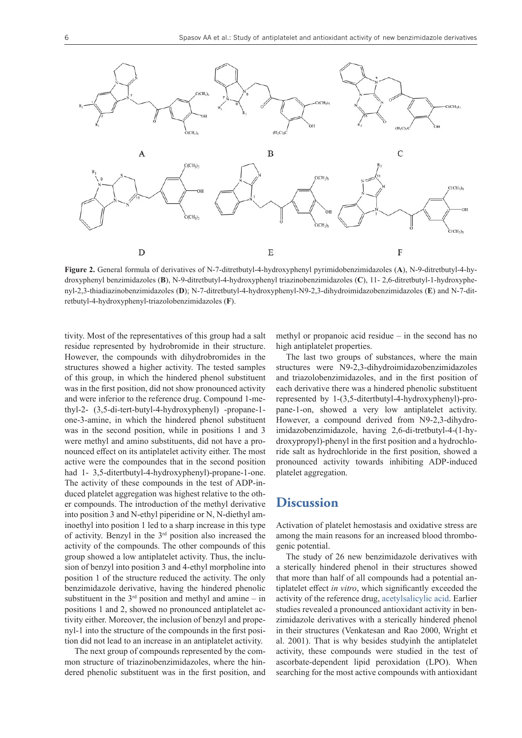

**Figure 2.** General formula of derivatives of N-7-ditretbutyl-4-hydroxyphenyl pyrimidobenzimidazoles (**A**), N-9-ditretbutyl-4-hydroxyphenyl benzimidazoles (**B**), N-9-ditretbutyl-4-hydroxyphenyl triazinobenzimidazoles (**C**), 11- 2,6-ditretbutyl-1-hydroxyphenyl-2,3-thiadiazinobenzimidazoles (**D**); N-7-ditretbutyl-4-hydroxyphenyl-N9-2,3-dihydroimidazobenzimidazoles (**E**) and N-7-ditretbutyl-4-hydroxyphenyl-triazolobenzimidazoles (**F**).

tivity. Most of the representatives of this group had a salt residue represented by hydrobromide in their structure. However, the compounds with dihydrobromides in the structures showed a higher activity. The tested samples of this group, in which the hindered phenol substituent was in the first position, did not show pronounced activity and were inferior to the reference drug. Compound 1-methyl-2- (3,5-di-tert-butyl-4-hydroxyphenyl) -propane-1 one-3-amine, in which the hindered phenol substituent was in the second position, while in positions 1 and 3 were methyl and amino substituents, did not have a pronounced effect on its antiplatelet activity either. The most active were the compoundes that in the second position had 1- 3,5-ditertbutyl-4-hydroxyphenyl)-propane-1-one. The activity of these compounds in the test of ADP-induced platelet aggregation was highest relative to the other compounds. The introduction of the methyl derivative into position 3 and N-ethyl piperidine or N, N-diethyl aminoethyl into position 1 led to a sharp increase in this type of activity. Benzyl in the 3rd position also increased the activity of the compounds. The other compounds of this group showed a low antiplatelet activity. Thus, the inclusion of benzyl into position 3 and 4-ethyl morpholine into position 1 of the structure reduced the activity. The only benzimidazole derivative, having the hindered phenolic substituent in the  $3<sup>rd</sup>$  position and methyl and amine – in positions 1 and 2, showed no pronounced antiplatelet activity either. Moreover, the inclusion of benzyl and propenyl-1 into the structure of the compounds in the first position did not lead to an increase in an antiplatelet activity.

The next group of compounds represented by the common structure of triazinobenzimidazoles, where the hindered phenolic substituent was in the first position, and methyl or propanoic acid residue – in the second has no high antiplatelet properties.

The last two groups of substances, where the main structures were N9-2,3-dihydroimidazobenzimidazoles and triazolobenzimidazoles, and in the first position of each derivative there was a hindered phenolic substituent represented by 1-(3,5-ditertbutyl-4-hydroxyphenyl)-propane-1-on, showed a very low antiplatelet activity. However, a compound derived from N9-2,3-dihydroimidazobenzimidazole, having 2,6-di-tretbutyl-4-(1-hydroxypropyl)-phenyl in the first position and a hydrochloride salt as hydrochloride in the first position, showed a pronounced activity towards inhibiting ADP-induced platelet aggregation.

#### **Discussion**

Activation of platelet hemostasis and oxidative stress are among the main reasons for an increased blood thrombogenic potential.

The study of 26 new benzimidazole derivatives with a sterically hindered phenol in their structures showed that more than half of all compounds had a potential antiplatelet effect *in vitro*, which significantly exceeded the activity of the reference drug, [acetylsalicylic acid](https://pubchem.ncbi.nlm.nih.gov/compound/Aspirin). Earlier studies revealed a pronounced antioxidant activity in benzimidazole derivatives with a sterically hindered phenol in their structures (Venkatesan and Rao 2000, Wright et al. 2001). That is why besides studyinh the antiplatelet activity, these compounds were studied in the test of ascorbate-dependent lipid peroxidation (LPO). When searching for the most active compounds with antioxidant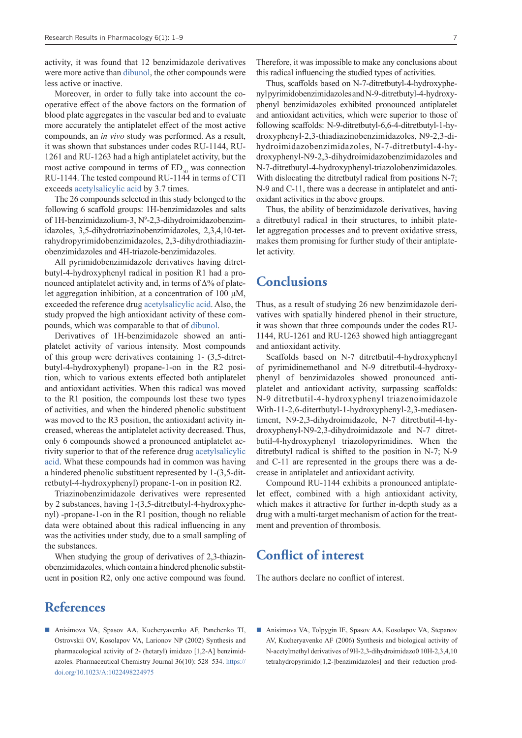activity, it was found that 12 benzimidazole derivatives were more active than [dibunol](https://pubchem.ncbi.nlm.nih.gov/compound/Butylated-hydroxytoluene), the other compounds were less active or inactive.

Moreover, in order to fully take into account the cooperative effect of the above factors on the formation of blood plate aggregates in the vascular bed and to evaluate more accurately the antiplatelet effect of the most active compounds, an *in vivo* study was performed. As a result, it was shown that substances under codes RU-1144, RU-1261 and RU-1263 had a high antiplatelet activity, but the most active compound in terms of  $ED_{50}$  was connection RU-1144. The tested compound RU-1144 in terms of CTI exceeds [acetylsalicylic acid](https://pubchem.ncbi.nlm.nih.gov/compound/Aspirin) by 3.7 times.

The 26 compounds selected in this study belonged to the following 6 scaffold groups: 1H-benzimidazoles and salts of 1H-benzimidazolium-3, Nº-2,3-dihydroimidazobenzimidazoles, 3,5-dihydrotriazinobenzimidazoles, 2,3,4,10-tetrahydropyrimidobenzimidazoles, 2,3-dihydrothiadiazinobenzimidazoles and 4H-triazole-benzimidazoles.

All pyrimidobenzimidazole derivatives having ditretbutyl-4-hydroxyphenyl radical in position R1 had a pronounced antiplatelet activity and, in terms of Δ% of platelet aggregation inhibition, at a concentration of 100 μM, exceeded the reference drug [acetylsalicylic acid](https://pubchem.ncbi.nlm.nih.gov/compound/Aspirin). Also, the study propved the high antioxidant activity of these compounds, which was comparable to that of [dibunol](https://pubchem.ncbi.nlm.nih.gov/compound/Butylated-hydroxytoluene).

Derivatives of 1H-benzimidazole showed an antiplatelet activity of various intensity. Most compounds of this group were derivatives containing 1- (3,5-ditretbutyl-4-hydroxyphenyl) propane-1-on in the R2 position, which to various extents effected both antiplatelet and antioxidant activities. When this radical was moved to the R1 position, the compounds lost these two types of activities, and when the hindered phenolic substituent was moved to the R3 position, the antioxidant activity increased, whereas the antiplatelet activity decreased. Thus, only 6 compounds showed a pronounced antiplatelet activity superior to that of the reference drug [acetylsalicylic](https://pubchem.ncbi.nlm.nih.gov/compound/Aspirin) [acid](https://pubchem.ncbi.nlm.nih.gov/compound/Aspirin). What these compounds had in common was having a hindered phenolic substituent represented by 1-(3,5-ditretbutyl-4-hydroxyphenyl) propane-1-on in position R2.

Triazinobenzimidazole derivatives were represented by 2 substances, having 1-(3,5-ditretbutyl-4-hydroxyphenyl) -propane-1-on in the R1 position, though no reliable data were obtained about this radical influencing in any was the activities under study, due to a small sampling of the substances.

When studying the group of derivatives of 2,3-thiazinobenzimidazoles, which contain a hindered phenolic substituent in position R2, only one active compound was found.

## **References**

 Anisimova VA, Spasov AA, Kucheryavenko AF, Panchenko TI, Ostrovskii OV, Kosolapov VA, Larionov NP (2002) Synthesis and pharmacological activity of 2- (hetaryl) imidazo [1,2-A] benzimidazoles. Pharmaceutical Chemistry Journal 36(10): 528–534. [https://](https://doi.org/10.1023/A:1022498224975) [doi.org/10.1023/A:1022498224975](https://doi.org/10.1023/A:1022498224975)

Therefore, it was impossible to make any conclusions about this radical influencing the studied types of activities.

Thus, scaffolds based on N-7-ditretbutyl-4-hydroxyphenyl pyrimidobenzimidazoles and N-9-ditretbutyl-4-hydroxyphenyl benzimidazoles exhibited pronounced antiplatelet and antioxidant activities, which were superior to those of following scaffolds: N-9-ditretbutyl-6,6-4-ditretbutyl-1-hydroxyphenyl-2,3-thiadiazinobenzimidazoles, N9-2,3-dihydroimidazobenzimidazoles, N-7-ditretbutyl-4-hydroxyphenyl-N9-2,3-dihydroimidazobenzimidazoles and N-7-ditretbutyl-4-hydroxyphenyl-triazolobenzimidazoles. With dislocating the ditretbutyl radical from positions N-7; N-9 and C-11, there was a decrease in antiplatelet and antioxidant activities in the above groups.

Thus, the ability of benzimidazole derivatives, having a ditretbutyl radical in their structures, to inhibit platelet aggregation processes and to prevent oxidative stress, makes them promising for further study of their antiplatelet activity.

## **Conclusions**

Thus, as a result of studying 26 new benzimidazole derivatives with spatially hindered phenol in their structure, it was shown that three compounds under the codes RU-1144, RU-1261 and RU-1263 showed high antiaggregant and antioxidant activity.

Scaffolds based on N-7 ditretbutil-4-hydroxyphenyl of pyrimidinemethanol and N-9 ditretbutil-4-hydroxyphenyl of benzimidazoles showed pronounced antiplatelet and antioxidant activity, surpassing scaffolds: N-9 ditretbutil-4-hydroxyphenyl triazenoimidazole With-11-2,6-ditertbutyl-1-hydroxyphenyl-2,3-mediasentiment, N9-2,3-dihydroimidazole, N-7 ditretbutil-4-hydroxyphenyl-N9-2,3-dihydroimidazole and N-7 ditretbutil-4-hydroxyphenyl triazolopyrimidines. When the ditretbutyl radical is shifted to the position in N-7; N-9 and C-11 are represented in the groups there was a decrease in antiplatelet and antioxidant activity.

Compound RU-1144 exhibits a pronounced antiplatelet effect, combined with a high antioxidant activity, which makes it attractive for further in-depth study as a drug with a multi-target mechanism of action for the treatment and prevention of thrombosis.

## **Conflict of interest**

The authors declare no conflict of interest.

■ Anisimova VA, Tolpygin IE, Spasov AA, Kosolapov VA, Stepanov AV, Kucheryavenko AF (2006) Synthesis and biological activity of N-acetylmethyl derivatives of 9H-2,3-dihydroimidazo0 10H-2,3,4,10 tetrahydropyrimido[1,2-]benzimidazoles] and their reduction prod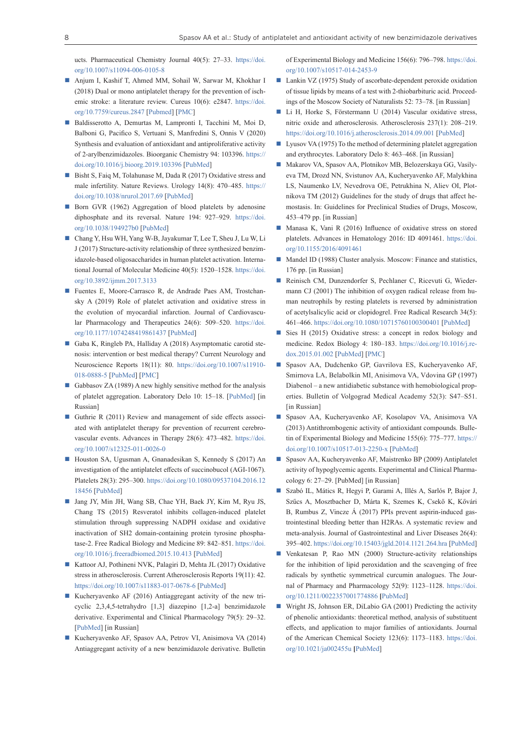ucts. Pharmaceutical Chemistry Journal 40(5): 27–33. [https://doi.](https://doi.org/10.1007/s11094-006-0105-8) [org/10.1007/s11094-006-0105-8](https://doi.org/10.1007/s11094-006-0105-8)

- Anjum I, Kashif T, Ahmed MM, Sohail W, Sarwar M, Khokhar I (2018) Dual or mono antiplatelet therapy for the prevention of ischemic stroke: a literature review. Cureus 10(6): e2847. [https://doi.](https://doi.org/10.7759/cureus.2847) [org/10.7759/cureus.2847](https://doi.org/10.7759/cureus.2847) [[Pubmed\]](https://www.ncbi.nlm.nih.gov/pubmed/30140598) [\[PMC\]](https://www.ncbi.nlm.nih.gov/pmc/articles/PMC6103388/)
- Baldisserotto A, Demurtas M, Lampronti I, Tacchini M, Moi D, Balboni G, Pacifico S, Vertuani S, Manfredini S, Onnis V (2020) Synthesis and evaluation of antioxidant and antiproliferative activity of 2-arylbenzimidazoles. Bioorganic Chemistry 94: 103396. [https://](https://doi.org/10.1016/j.bioorg.2019.103396) [doi.org/10.1016/j.bioorg.2019.103396](https://doi.org/10.1016/j.bioorg.2019.103396) [[PubMed\]](https://www.ncbi.nlm.nih.gov/pubmed/31677860)
- Bisht S, Faiq M, Tolahunase M, Dada R (2017) Oxidative stress and male infertility. Nature Reviews. Urology 14(8): 470–485. [https://](https://doi.org/10.1038/nrurol.2017.69) [doi.org/10.1038/nrurol.2017.69](https://doi.org/10.1038/nrurol.2017.69) [\[PubMed\]](https://www.ncbi.nlm.nih.gov/pubmed/28508879)
- Born GVR (1962) Aggregation of blood platelets by adenosine diphosphate and its reversal. Nature 194: 927–929. [https://doi.](https://doi.org/10.1038/194927b0) [org/10.1038/194927b0](https://doi.org/10.1038/194927b0) [[PubMed\]](https://www.ncbi.nlm.nih.gov/pubmed/13871375)
- Chang Y, Hsu WH, Yang W-B, Jayakumar T, Lee T, Sheu J, Lu W, Li J (2017) Structure-activity relationship of three synthesized benzimidazole-based oligosaccharides in human platelet activation. International Journal of Molecular Medicine 40(5): 1520–1528. [https://doi.](https://doi.org/10.3892/ijmm.2017.3133) [org/10.3892/ijmm.2017.3133](https://doi.org/10.3892/ijmm.2017.3133)
- Fuentes E, Moore-Carrasco R, de Andrade Paes AM, Trostchansky A (2019) Role of platelet activation and oxidative stress in the evolution of myocardial infarction. Journal of Cardiovascular Pharmacology and Therapeutics 24(6): 509–520. [https://doi.](https://doi.org/10.1177/1074248419861437) [org/10.1177/1074248419861437](https://doi.org/10.1177/1074248419861437) [\[PubMed](https://www.ncbi.nlm.nih.gov/pubmed/31280622)]
- Gaba K, Ringleb PA, Halliday A (2018) Asymptomatic carotid stenosis: intervention or best medical therapy? Current Neurology and Neuroscience Reports 18(11): 80. [https://doi.org/10.1007/s11910-](https://doi.org/10.1007/s11910-018-0888-5) [018-0888-5](https://doi.org/10.1007/s11910-018-0888-5) [\[PubMed](https://www.ncbi.nlm.nih.gov/pubmed/30251204)] [\[PMC](https://www.ncbi.nlm.nih.gov/pmc/articles/PMC6153576/)]
- Gabbasov ZA (1989) A new highly sensitive method for the analysis of platelet aggregation. Laboratory Delo 10: 15–18. [\[PubMed\]](https://www.ncbi.nlm.nih.gov/pubmed/2481062) [in Russian]
- Guthrie R (2011) Review and management of side effects associated with antiplatelet therapy for prevention of recurrent cerebrovascular events. Advances in Therapy 28(6): 473–482. [https://doi.](https://doi.org/10.1007/s12325-011-0026-0) [org/10.1007/s12325-011-0026-0](https://doi.org/10.1007/s12325-011-0026-0)
- Houston SA, Ugusman A, Gnanadesikan S, Kennedy S (2017) An investigation of the antiplatelet effects of succinobucol (AGI-1067). Platelets 28(3): 295–300. [https://doi.org/10.1080/09537104.2016.12](https://doi.org/10.1080/09537104.2016.1218456) [18456](https://doi.org/10.1080/09537104.2016.1218456) [[PubMed\]](https://www.ncbi.nlm.nih.gov/pubmed/27681689)
- Jang JY, Min JH, Wang SB, Chae YH, Baek JY, Kim M, Ryu JS, Chang TS (2015) Resveratol inhibits collagen-induced platelet stimulation through suppressing NADPH oxidase and oxidative inactivation of SH2 domain-containing protein tyrosine phosphatase-2. Free Radical Biology and Medicine 89: 842–851. [https://doi.](https://doi.org/10.1016/j.freeradbiomed.2015.10.413) [org/10.1016/j.freeradbiomed.2015.10.413](https://doi.org/10.1016/j.freeradbiomed.2015.10.413) [[PubMed\]](https://www.ncbi.nlm.nih.gov/pubmed/26482867)
- Kattoor AJ, Pothineni NVK, Palagiri D, Mehta JL (2017) Oxidative stress in atherosclerosis. Current Atherosclerosis Reports 19(11): 42. <https://doi.org/10.1007/s11883-017-0678-6> [[PubMed](https://www.ncbi.nlm.nih.gov/pubmed/28921056)]
- Kucheryavenko AF (2016) Antiaggregant activity of the new tricyclic 2,3,4,5-tetrahydro [1,3] diazepino [1,2-a] benzimidazole derivative. Experimental and Clinical Pharmacology 79(5): 29–32. [[PubMed\]](https://www.ncbi.nlm.nih.gov/pubmed/29782777) [in Russian]
- Kucheryavenko AF, Spasov AA, Petrov VI, Anisimova VA (2014) Antiaggregant activity of a new benzimidazole derivative. Bulletin

of Experimental Biology and Medicine 156(6): 796–798. [https://doi.](https://doi.org/10.1007/s10517-014-2453-9) [org/10.1007/s10517-014-2453-9](https://doi.org/10.1007/s10517-014-2453-9)

- Lankin VZ (1975) Study of ascorbate-dependent peroxide oxidation of tissue lipids by means of a test with 2-thiobarbituric acid. Proceedings of the Moscow Society of Naturalists 52: 73–78. [in Russian]
- Li H, Horke S, Förstermann U (2014) Vascular oxidative stress, nitric oxide and atherosclerosis. Atherosclerosis 237(1): 208–219. <https://doi.org/10.1016/j.atherosclerosis.2014.09.001> [\[PubMed](https://www.ncbi.nlm.nih.gov/pubmed/25244505)]
- Lyusov VA (1975) To the method of determining platelet aggregation and erythrocytes. Laboratory Delo 8: 463–468. [in Russian]
- Makarov VA, Spasov AA, Plotnikov MB, Belozerskaya GG, Vasilyeva TM, Drozd NN, Svistunov AA, Kucheryavenko AF, Malykhina LS, Naumenko LV, Nevedrova OE, Petrukhina N, Aliev OI, Plotnikova TM (2012) Guidelines for the study of drugs that affect hemostasis. In: Guidelines for Preclinical Studies of Drugs, Moscow, 453–479 pp. [in Russian]
- Manasa K, Vani R (2016) Influence of oxidative stress on stored platelets. Advances in Hematology 2016: ID 4091461. [https://doi.](https://doi.org/10.1155/2016/4091461) [org/10.1155/2016/4091461](https://doi.org/10.1155/2016/4091461)
- Mandel ID (1988) Cluster analysis. Moscow: Finance and statistics, 176 pp. [in Russian]
- Reinisch CM, Dunzendorfer S, Pechlaner C, Ricevuti G, Wiedermann CJ (2001) The inhibition of oxygen radical release from human neutrophils by resting platelets is reversed by administration of acetylsalicylic acid or clopidogrel. Free Radical Research 34(5): 461–466.<https://doi.org/10.1080/10715760100300401>[\[PubMed\]](https://www.ncbi.nlm.nih.gov/pubmed/11378529)
- Sies H (2015) Oxidative stress: a concept in redox biology and medicine. Redox Biology 4: 180–183. [https://doi.org/10.1016/j.re](https://doi.org/10.1016/j.redox.2015.01.002)[dox.2015.01.002](https://doi.org/10.1016/j.redox.2015.01.002) [[PubMed](https://www.ncbi.nlm.nih.gov/pubmed/25588755)] [\[PMC](https://www.ncbi.nlm.nih.gov/pmc/articles/PMC4309861/)]
- Spasov AA, Dudchenko GP, Gavrilova ES, Kucheryavenko AF, Smirnova LA, Belabolkin MI, Anisimova VA, Vdovina GP (1997) Diabenol – a new antidiabetic substance with hemobiological properties. Bulletin of Volgograd Medical Academy 52(3): S47–S51. [in Russian]
- Spasov AA, Kucheryavenko AF, Kosolapov VA, Anisimova VA (2013) Antithrombogenic activity of antioxidant compounds. Bulletin of Experimental Biology and Medicine 155(6): 775–777. [https://](https://doi.org/10.1007/s10517-013-2250-x) [doi.org/10.1007/s10517-013-2250-x](https://doi.org/10.1007/s10517-013-2250-x) [\[PubMed](https://www.ncbi.nlm.nih.gov/pubmed/24288764)]
- Spasov AA, Kucheryavenko AF, Maistrenko BP (2009) Antiplatelet activity of hypoglycemic agents. Experimental and Clinical Pharmacology 6: 27–29. [PubMed] [in Russian]
- Szabó IL, Mátics R, Hegyi P, Garami A, Illés A, Sarlós P, Bajor J, Szűcs A, Mosztbacher D, Márta K, Szemes K, Csekő K, Kővári B, Rumbus Z, Vincze Á (2017) PPIs prevent aspirin-induced gastrointestinal bleeding better than H2RAs. A systematic review and meta-analysis. Journal of Gastrointestinal and Liver Diseases 26(4): 395–402.<https://doi.org/10.15403/jgld.2014.1121.264.hra> [[PubMed\]](https://www.ncbi.nlm.nih.gov/pubmed/29253055)
- Venkatesan P, Rao MN (2000) Structure-activity relationships for the inhibition of lipid peroxidation and the scavenging of free radicals by synthetic symmetrical curcumin analogues. The Journal of Pharmacy and Pharmacology 52(9): 1123–1128. [https://doi.](https://doi.org/10.1211/0022357001774886) [org/10.1211/0022357001774886](https://doi.org/10.1211/0022357001774886) **[**[PubMed\]](https://www.ncbi.nlm.nih.gov/pubmed/11045893)
- Wright JS, Johnson ER, DiLabio GA (2001) Predicting the activity of phenolic antioxidants: theoretical method, analysis of substituent effects, and application to major families of antioxidants. Journal of the American Chemical Society 123(6): 1173–1183. [https://doi.](https://doi.org/10.1021/ja002455u) [org/10.1021/ja002455u](https://doi.org/10.1021/ja002455u) **[**[PubMed\]](https://www.ncbi.nlm.nih.gov/pubmed/11456671)